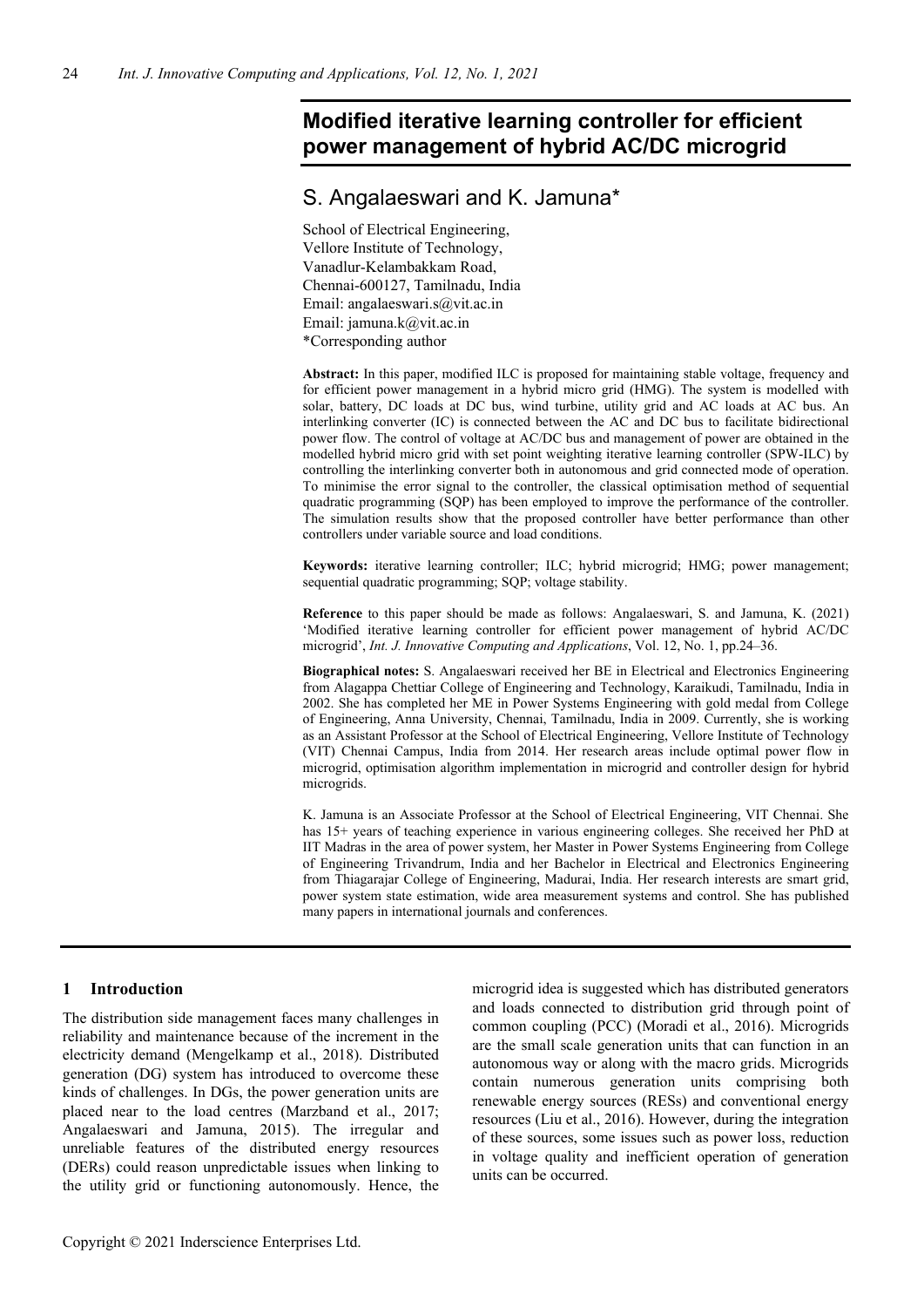# **Modified iterative learning controller for efficient power management of hybrid AC/DC microgrid**

# S. Angalaeswari and K. Jamuna\*

School of Electrical Engineering, Vellore Institute of Technology, Vanadlur-Kelambakkam Road, Chennai-600127, Tamilnadu, India Email: angalaeswari.s@vit.ac.in Email: jamuna.k@vit.ac.in \*Corresponding author

**Abstract:** In this paper, modified ILC is proposed for maintaining stable voltage, frequency and for efficient power management in a hybrid micro grid (HMG). The system is modelled with solar, battery, DC loads at DC bus, wind turbine, utility grid and AC loads at AC bus. An interlinking converter (IC) is connected between the AC and DC bus to facilitate bidirectional power flow. The control of voltage at AC/DC bus and management of power are obtained in the modelled hybrid micro grid with set point weighting iterative learning controller (SPW-ILC) by controlling the interlinking converter both in autonomous and grid connected mode of operation. To minimise the error signal to the controller, the classical optimisation method of sequential quadratic programming (SQP) has been employed to improve the performance of the controller. The simulation results show that the proposed controller have better performance than other controllers under variable source and load conditions.

**Keywords:** iterative learning controller; ILC; hybrid microgrid; HMG; power management; sequential quadratic programming; SQP; voltage stability.

**Reference** to this paper should be made as follows: Angalaeswari, S. and Jamuna, K. (2021) 'Modified iterative learning controller for efficient power management of hybrid AC/DC microgrid', *Int. J. Innovative Computing and Applications*, Vol. 12, No. 1, pp.24–36.

**Biographical notes:** S. Angalaeswari received her BE in Electrical and Electronics Engineering from Alagappa Chettiar College of Engineering and Technology, Karaikudi, Tamilnadu, India in 2002. She has completed her ME in Power Systems Engineering with gold medal from College of Engineering, Anna University, Chennai, Tamilnadu, India in 2009. Currently, she is working as an Assistant Professor at the School of Electrical Engineering, Vellore Institute of Technology (VIT) Chennai Campus, India from 2014. Her research areas include optimal power flow in microgrid, optimisation algorithm implementation in microgrid and controller design for hybrid microgrids.

K. Jamuna is an Associate Professor at the School of Electrical Engineering, VIT Chennai. She has 15+ years of teaching experience in various engineering colleges. She received her PhD at IIT Madras in the area of power system, her Master in Power Systems Engineering from College of Engineering Trivandrum, India and her Bachelor in Electrical and Electronics Engineering from Thiagarajar College of Engineering, Madurai, India. Her research interests are smart grid, power system state estimation, wide area measurement systems and control. She has published many papers in international journals and conferences.

# **1 Introduction**

The distribution side management faces many challenges in reliability and maintenance because of the increment in the electricity demand (Mengelkamp et al., 2018). Distributed generation (DG) system has introduced to overcome these kinds of challenges. In DGs, the power generation units are placed near to the load centres (Marzband et al., 2017; Angalaeswari and Jamuna, 2015). The irregular and unreliable features of the distributed energy resources (DERs) could reason unpredictable issues when linking to the utility grid or functioning autonomously. Hence, the

microgrid idea is suggested which has distributed generators and loads connected to distribution grid through point of common coupling (PCC) (Moradi et al., 2016). Microgrids are the small scale generation units that can function in an autonomous way or along with the macro grids. Microgrids contain numerous generation units comprising both renewable energy sources (RESs) and conventional energy resources (Liu et al., 2016). However, during the integration of these sources, some issues such as power loss, reduction in voltage quality and inefficient operation of generation units can be occurred.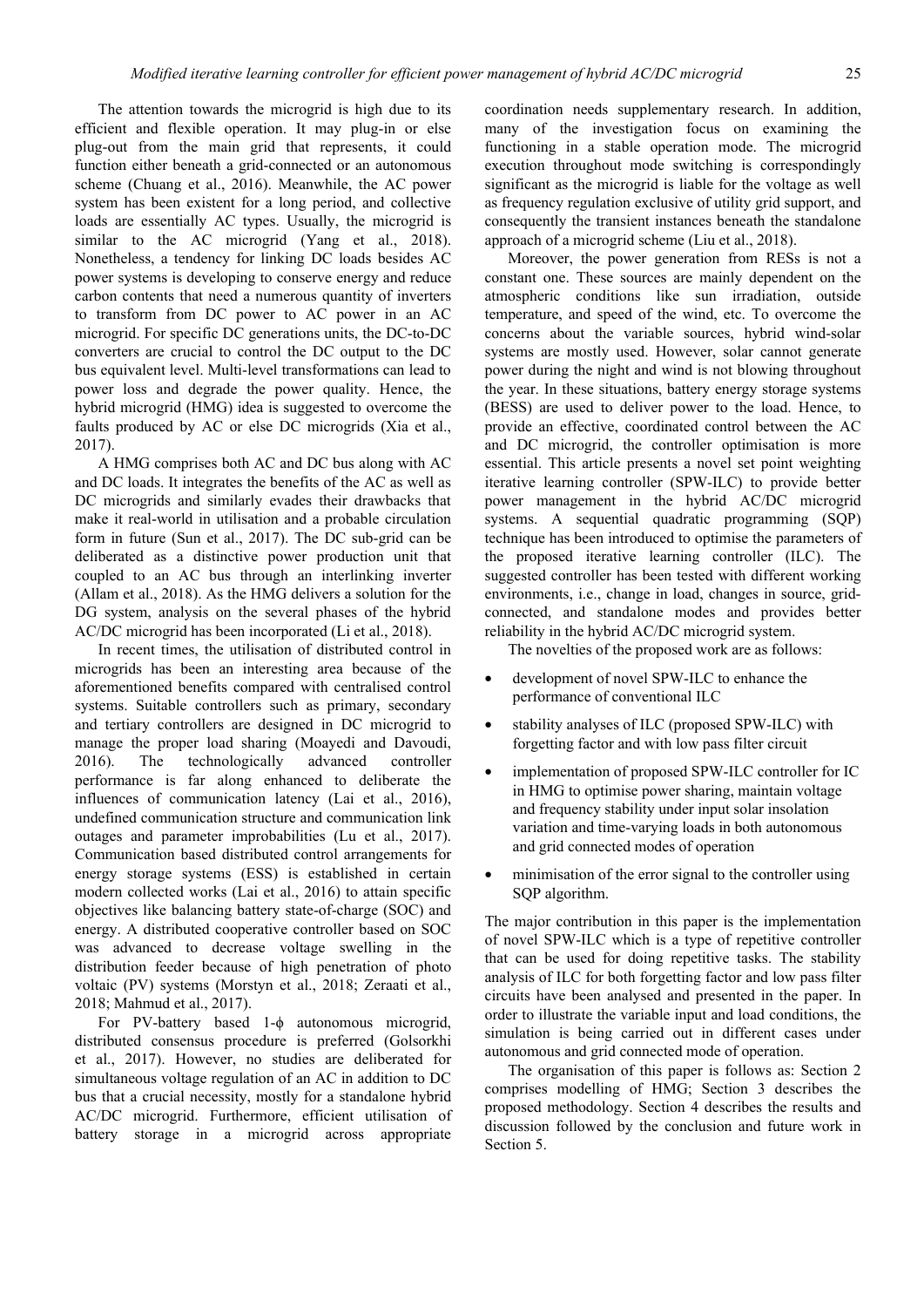The attention towards the microgrid is high due to its efficient and flexible operation. It may plug-in or else plug-out from the main grid that represents, it could function either beneath a grid-connected or an autonomous scheme (Chuang et al., 2016). Meanwhile, the AC power system has been existent for a long period, and collective loads are essentially AC types. Usually, the microgrid is similar to the AC microgrid (Yang et al., 2018). Nonetheless, a tendency for linking DC loads besides AC power systems is developing to conserve energy and reduce carbon contents that need a numerous quantity of inverters to transform from DC power to AC power in an AC microgrid. For specific DC generations units, the DC-to-DC converters are crucial to control the DC output to the DC bus equivalent level. Multi-level transformations can lead to power loss and degrade the power quality. Hence, the hybrid microgrid (HMG) idea is suggested to overcome the faults produced by AC or else DC microgrids (Xia et al., 2017).

A HMG comprises both AC and DC bus along with AC and DC loads. It integrates the benefits of the AC as well as DC microgrids and similarly evades their drawbacks that make it real-world in utilisation and a probable circulation form in future (Sun et al., 2017). The DC sub-grid can be deliberated as a distinctive power production unit that coupled to an AC bus through an interlinking inverter (Allam et al., 2018). As the HMG delivers a solution for the DG system, analysis on the several phases of the hybrid AC/DC microgrid has been incorporated (Li et al., 2018).

In recent times, the utilisation of distributed control in microgrids has been an interesting area because of the aforementioned benefits compared with centralised control systems. Suitable controllers such as primary, secondary and tertiary controllers are designed in DC microgrid to manage the proper load sharing (Moayedi and Davoudi, 2016). The technologically advanced controller performance is far along enhanced to deliberate the influences of communication latency (Lai et al., 2016), undefined communication structure and communication link outages and parameter improbabilities (Lu et al., 2017). Communication based distributed control arrangements for energy storage systems (ESS) is established in certain modern collected works (Lai et al., 2016) to attain specific objectives like balancing battery state-of-charge (SOC) and energy. A distributed cooperative controller based on SOC was advanced to decrease voltage swelling in the distribution feeder because of high penetration of photo voltaic (PV) systems (Morstyn et al., 2018; Zeraati et al., 2018; Mahmud et al., 2017).

For PV-battery based 1-ϕ autonomous microgrid, distributed consensus procedure is preferred (Golsorkhi et al., 2017). However, no studies are deliberated for simultaneous voltage regulation of an AC in addition to DC bus that a crucial necessity, mostly for a standalone hybrid AC/DC microgrid. Furthermore, efficient utilisation of battery storage in a microgrid across appropriate

coordination needs supplementary research. In addition, many of the investigation focus on examining the functioning in a stable operation mode. The microgrid execution throughout mode switching is correspondingly significant as the microgrid is liable for the voltage as well as frequency regulation exclusive of utility grid support, and consequently the transient instances beneath the standalone approach of a microgrid scheme (Liu et al., 2018).

Moreover, the power generation from RESs is not a constant one. These sources are mainly dependent on the atmospheric conditions like sun irradiation, outside temperature, and speed of the wind, etc. To overcome the concerns about the variable sources, hybrid wind-solar systems are mostly used. However, solar cannot generate power during the night and wind is not blowing throughout the year. In these situations, battery energy storage systems (BESS) are used to deliver power to the load. Hence, to provide an effective, coordinated control between the AC and DC microgrid, the controller optimisation is more essential. This article presents a novel set point weighting iterative learning controller (SPW-ILC) to provide better power management in the hybrid AC/DC microgrid systems. A sequential quadratic programming (SQP) technique has been introduced to optimise the parameters of the proposed iterative learning controller (ILC). The suggested controller has been tested with different working environments, i.e., change in load, changes in source, gridconnected, and standalone modes and provides better reliability in the hybrid AC/DC microgrid system.

The novelties of the proposed work are as follows:

- development of novel SPW-ILC to enhance the performance of conventional ILC
- stability analyses of ILC (proposed SPW-ILC) with forgetting factor and with low pass filter circuit
- implementation of proposed SPW-ILC controller for IC in HMG to optimise power sharing, maintain voltage and frequency stability under input solar insolation variation and time-varying loads in both autonomous and grid connected modes of operation
- minimisation of the error signal to the controller using SQP algorithm.

The major contribution in this paper is the implementation of novel SPW-ILC which is a type of repetitive controller that can be used for doing repetitive tasks. The stability analysis of ILC for both forgetting factor and low pass filter circuits have been analysed and presented in the paper. In order to illustrate the variable input and load conditions, the simulation is being carried out in different cases under autonomous and grid connected mode of operation.

The organisation of this paper is follows as: Section 2 comprises modelling of HMG; Section 3 describes the proposed methodology. Section 4 describes the results and discussion followed by the conclusion and future work in Section 5.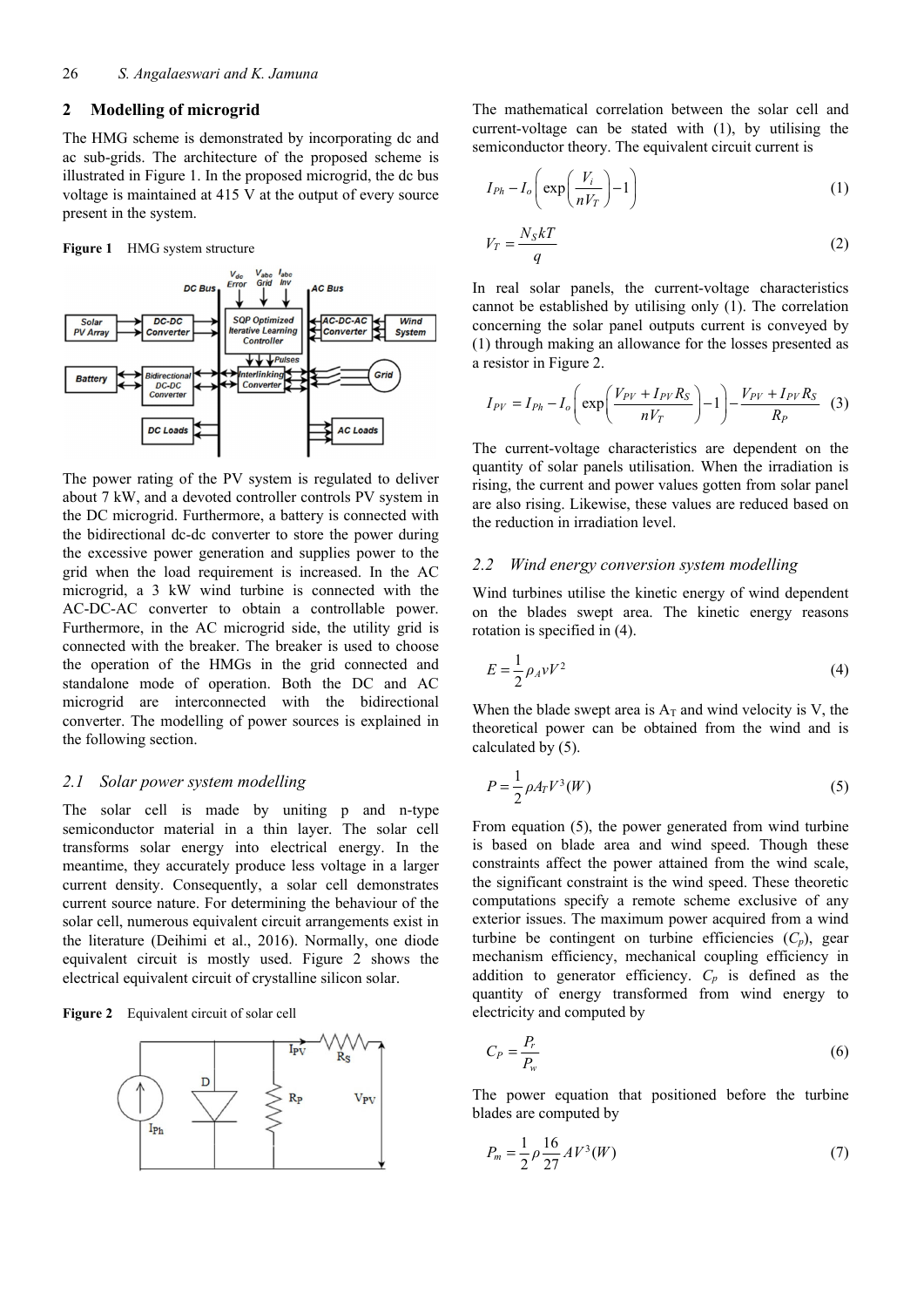## **2 Modelling of microgrid**

The HMG scheme is demonstrated by incorporating dc and ac sub-grids. The architecture of the proposed scheme is illustrated in Figure 1. In the proposed microgrid, the dc bus voltage is maintained at 415 V at the output of every source present in the system.

**Figure 1** HMG system structure



The power rating of the PV system is regulated to deliver about 7 kW, and a devoted controller controls PV system in the DC microgrid. Furthermore, a battery is connected with the bidirectional dc-dc converter to store the power during the excessive power generation and supplies power to the grid when the load requirement is increased. In the AC microgrid, a 3 kW wind turbine is connected with the AC-DC-AC converter to obtain a controllable power. Furthermore, in the AC microgrid side, the utility grid is connected with the breaker. The breaker is used to choose the operation of the HMGs in the grid connected and standalone mode of operation. Both the DC and AC microgrid are interconnected with the bidirectional converter. The modelling of power sources is explained in the following section.

#### *2.1 Solar power system modelling*

The solar cell is made by uniting p and n-type semiconductor material in a thin layer. The solar cell transforms solar energy into electrical energy. In the meantime, they accurately produce less voltage in a larger current density. Consequently, a solar cell demonstrates current source nature. For determining the behaviour of the solar cell, numerous equivalent circuit arrangements exist in the literature (Deihimi et al., 2016). Normally, one diode equivalent circuit is mostly used. Figure 2 shows the electrical equivalent circuit of crystalline silicon solar.

**Figure 2** Equivalent circuit of solar cell



The mathematical correlation between the solar cell and current-voltage can be stated with (1), by utilising the semiconductor theory. The equivalent circuit current is

$$
I_{Ph} - I_o \left( \exp\left(\frac{V_i}{nV_T}\right) - 1 \right) \tag{1}
$$

$$
V_T = \frac{N_S kT}{q} \tag{2}
$$

In real solar panels, the current-voltage characteristics cannot be established by utilising only (1). The correlation concerning the solar panel outputs current is conveyed by (1) through making an allowance for the losses presented as a resistor in Figure 2.

$$
I_{PV} = I_{Ph} - I_o \left( \exp \left( \frac{V_{PV} + I_{PV} R_S}{n V_T} \right) - 1 \right) - \frac{V_{PV} + I_{PV} R_S}{R_P} \tag{3}
$$

The current-voltage characteristics are dependent on the quantity of solar panels utilisation. When the irradiation is rising, the current and power values gotten from solar panel are also rising. Likewise, these values are reduced based on the reduction in irradiation level.

#### *2.2 Wind energy conversion system modelling*

Wind turbines utilise the kinetic energy of wind dependent on the blades swept area. The kinetic energy reasons rotation is specified in (4).

$$
E = \frac{1}{2} \rho_A v V^2 \tag{4}
$$

When the blade swept area is  $A_T$  and wind velocity is V, the theoretical power can be obtained from the wind and is calculated by (5).

$$
P = \frac{1}{2} \rho A_T V^3(W) \tag{5}
$$

From equation (5), the power generated from wind turbine is based on blade area and wind speed. Though these constraints affect the power attained from the wind scale, the significant constraint is the wind speed. These theoretic computations specify a remote scheme exclusive of any exterior issues. The maximum power acquired from a wind turbine be contingent on turbine efficiencies (*Cp*), gear mechanism efficiency, mechanical coupling efficiency in addition to generator efficiency.  $C_p$  is defined as the quantity of energy transformed from wind energy to electricity and computed by

$$
C_P = \frac{P_r}{P_w} \tag{6}
$$

The power equation that positioned before the turbine blades are computed by

$$
P_m = \frac{1}{2} \rho \frac{16}{27} A V^3(W) \tag{7}
$$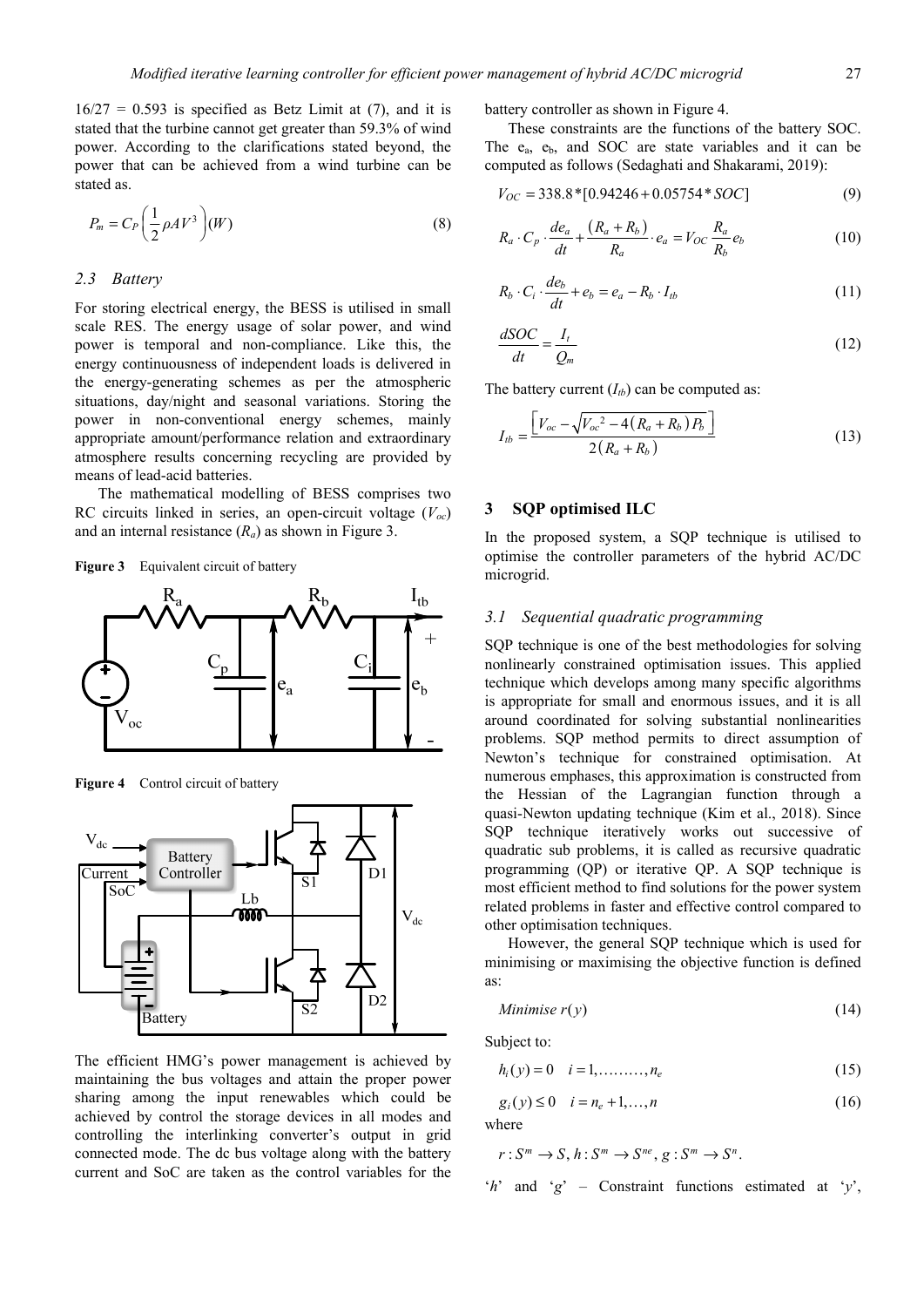$16/27 = 0.593$  is specified as Betz Limit at (7), and it is stated that the turbine cannot get greater than 59.3% of wind power. According to the clarifications stated beyond, the power that can be achieved from a wind turbine can be stated as.

$$
P_m = C_P \left(\frac{1}{2} \rho A V^3\right) (W) \tag{8}
$$

# *2.3 Battery*

For storing electrical energy, the BESS is utilised in small scale RES. The energy usage of solar power, and wind power is temporal and non-compliance. Like this, the energy continuousness of independent loads is delivered in the energy-generating schemes as per the atmospheric situations, day/night and seasonal variations. Storing the power in non-conventional energy schemes, mainly appropriate amount/performance relation and extraordinary atmosphere results concerning recycling are provided by means of lead-acid batteries.

The mathematical modelling of BESS comprises two RC circuits linked in series, an open-circuit voltage  $(V<sub>oc</sub>)$ and an internal resistance (*Ra*) as shown in Figure 3.

**Figure 3** Equivalent circuit of battery



Figure 4 Control circuit of battery



The efficient HMG's power management is achieved by maintaining the bus voltages and attain the proper power sharing among the input renewables which could be achieved by control the storage devices in all modes and controlling the interlinking converter's output in grid connected mode. The dc bus voltage along with the battery current and SoC are taken as the control variables for the

battery controller as shown in Figure 4.

These constraints are the functions of the battery SOC. The  $e_a$ ,  $e_b$ , and SOC are state variables and it can be computed as follows (Sedaghati and Shakarami, 2019):

$$
V_{OC} = 338.8 * [0.94246 + 0.05754 * SOC]
$$
\n(9)

$$
R_a \cdot C_p \cdot \frac{de_a}{dt} + \frac{(R_a + R_b)}{R_a} \cdot e_a = V_{OC} \frac{R_a}{R_b} e_b \tag{10}
$$

$$
R_b \cdot C_i \cdot \frac{de_b}{dt} + e_b = e_a - R_b \cdot I_{tb}
$$
 (11)

$$
\frac{dSOC}{dt} = \frac{I_t}{Q_m} \tag{12}
$$

The battery current  $(I_{tb})$  can be computed as:

$$
I_{tb} = \frac{\left[V_{oc} - \sqrt{V_{oc}^2 - 4(R_a + R_b)P_b}\right]}{2(R_a + R_b)}
$$
(13)

## **3 SQP optimised ILC**

In the proposed system, a SQP technique is utilised to optimise the controller parameters of the hybrid AC/DC microgrid.

### *3.1 Sequential quadratic programming*

SQP technique is one of the best methodologies for solving nonlinearly constrained optimisation issues. This applied technique which develops among many specific algorithms is appropriate for small and enormous issues, and it is all around coordinated for solving substantial nonlinearities problems. SQP method permits to direct assumption of Newton's technique for constrained optimisation. At numerous emphases, this approximation is constructed from the Hessian of the Lagrangian function through a quasi-Newton updating technique (Kim et al., 2018). Since SQP technique iteratively works out successive of quadratic sub problems, it is called as recursive quadratic programming (QP) or iterative QP. A SQP technique is most efficient method to find solutions for the power system related problems in faster and effective control compared to other optimisation techniques.

However, the general SQP technique which is used for minimising or maximising the objective function is defined as:

Minimise 
$$
r(y)
$$
 (14)

Subject to:

$$
h_i(y) = 0 \quad i = 1, \dots, n_e \tag{15}
$$

$$
g_i(y) \le 0 \quad i = n_e + 1, ..., n \tag{16}
$$

where

$$
r: S^m \to S, h: S^m \to S^{ne}, g: S^m \to S^n.
$$

'*h*' and '*g*' – Constraint functions estimated at '*y*',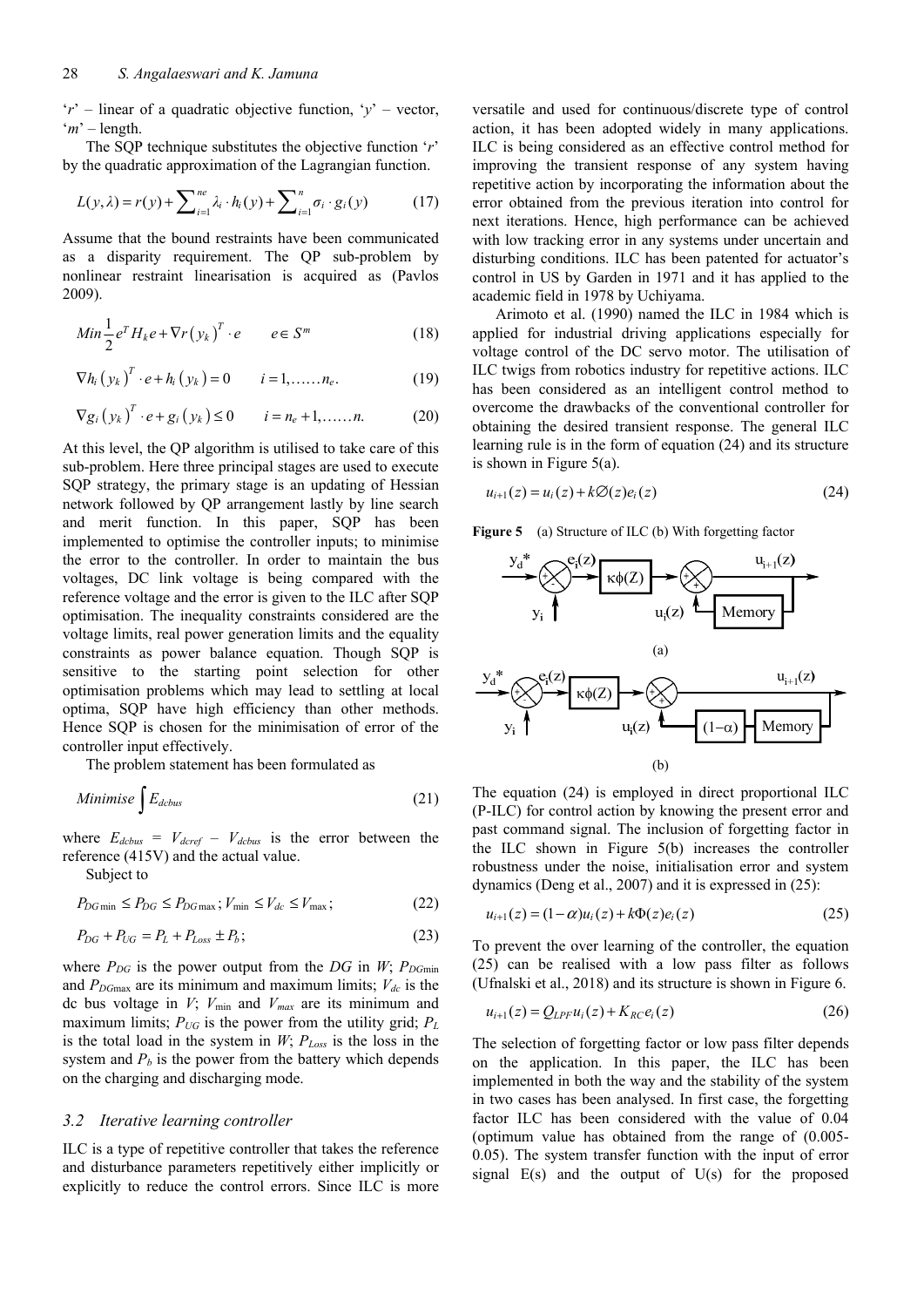'*r*' – linear of a quadratic objective function, '*y*' – vector, '*m*' – length.

The SQP technique substitutes the objective function '*r*' by the quadratic approximation of the Lagrangian function.

$$
L(y,\lambda) = r(y) + \sum_{i=1}^{ne} \lambda_i \cdot h_i(y) + \sum_{i=1}^{n} \sigma_i \cdot g_i(y) \tag{17}
$$

Assume that the bound restraints have been communicated as a disparity requirement. The QP sub-problem by nonlinear restraint linearisation is acquired as (Pavlos 2009).

$$
Min\frac{1}{2}e^{T}H_{k}e + \nabla r(y_{k})^{T} \cdot e \qquad e \in S^{m}
$$
 (18)

$$
\nabla h_i (y_k)^T \cdot e + h_i (y_k) = 0
$$
  $i = 1, \dots, n_e.$  (19)

$$
\nabla g_i(y_k)^T \cdot e + g_i(y_k) \le 0 \qquad i = n_e + 1, \dots, n. \tag{20}
$$

At this level, the QP algorithm is utilised to take care of this sub-problem. Here three principal stages are used to execute SQP strategy, the primary stage is an updating of Hessian network followed by QP arrangement lastly by line search and merit function. In this paper, SQP has been implemented to optimise the controller inputs; to minimise the error to the controller. In order to maintain the bus voltages, DC link voltage is being compared with the reference voltage and the error is given to the ILC after SQP optimisation. The inequality constraints considered are the voltage limits, real power generation limits and the equality constraints as power balance equation. Though SQP is sensitive to the starting point selection for other optimisation problems which may lead to settling at local optima, SQP have high efficiency than other methods. Hence SQP is chosen for the minimisation of error of the controller input effectively.

The problem statement has been formulated as

Minimise 
$$
\int E_{dcbus}
$$
 (21)

where  $E_{dcbus} = V_{dcref} - V_{dcbus}$  is the error between the reference (415V) and the actual value.

Subject to

$$
P_{DG\min} \le P_{DG} \le P_{DG\max}; V_{\min} \le V_{dc} \le V_{\max};\tag{22}
$$

$$
P_{DG} + P_{UG} = P_L + P_{Loss} \pm P_b; \tag{23}
$$

where  $P_{DG}$  is the power output from the  $DG$  in *W*;  $P_{DGmin}$ and  $P_{DGmax}$  are its minimum and maximum limits;  $V_{dc}$  is the dc bus voltage in *V*; *V*min and *Vmax* are its minimum and maximum limits;  $P_{UG}$  is the power from the utility grid;  $P_L$ is the total load in the system in *W*; *PLoss* is the loss in the system and  $P_b$  is the power from the battery which depends on the charging and discharging mode.

#### *3.2 Iterative learning controller*

ILC is a type of repetitive controller that takes the reference and disturbance parameters repetitively either implicitly or explicitly to reduce the control errors. Since ILC is more versatile and used for continuous/discrete type of control action, it has been adopted widely in many applications. ILC is being considered as an effective control method for improving the transient response of any system having repetitive action by incorporating the information about the error obtained from the previous iteration into control for next iterations. Hence, high performance can be achieved with low tracking error in any systems under uncertain and disturbing conditions. ILC has been patented for actuator's control in US by Garden in 1971 and it has applied to the academic field in 1978 by Uchiyama.

Arimoto et al. (1990) named the ILC in 1984 which is applied for industrial driving applications especially for voltage control of the DC servo motor. The utilisation of ILC twigs from robotics industry for repetitive actions. ILC has been considered as an intelligent control method to overcome the drawbacks of the conventional controller for obtaining the desired transient response. The general ILC learning rule is in the form of equation (24) and its structure is shown in Figure 5(a).

$$
u_{i+1}(z) = u_i(z) + k\mathcal{O}(z)e_i(z)
$$
 (24)

**Figure 5** (a) Structure of ILC (b) With forgetting factor



The equation (24) is employed in direct proportional ILC (P-ILC) for control action by knowing the present error and past command signal. The inclusion of forgetting factor in the ILC shown in Figure 5(b) increases the controller robustness under the noise, initialisation error and system dynamics (Deng et al., 2007) and it is expressed in (25):

$$
u_{i+1}(z) = (1 - \alpha)u_i(z) + k\Phi(z)e_i(z)
$$
\n(25)

To prevent the over learning of the controller, the equation (25) can be realised with a low pass filter as follows (Ufnalski et al., 2018) and its structure is shown in Figure 6.

$$
u_{i+1}(z) = Q_{LPF}u_i(z) + K_{RC}e_i(z)
$$
 (26)

The selection of forgetting factor or low pass filter depends on the application. In this paper, the ILC has been implemented in both the way and the stability of the system in two cases has been analysed. In first case, the forgetting factor ILC has been considered with the value of 0.04 (optimum value has obtained from the range of (0.005- 0.05). The system transfer function with the input of error signal  $E(s)$  and the output of  $U(s)$  for the proposed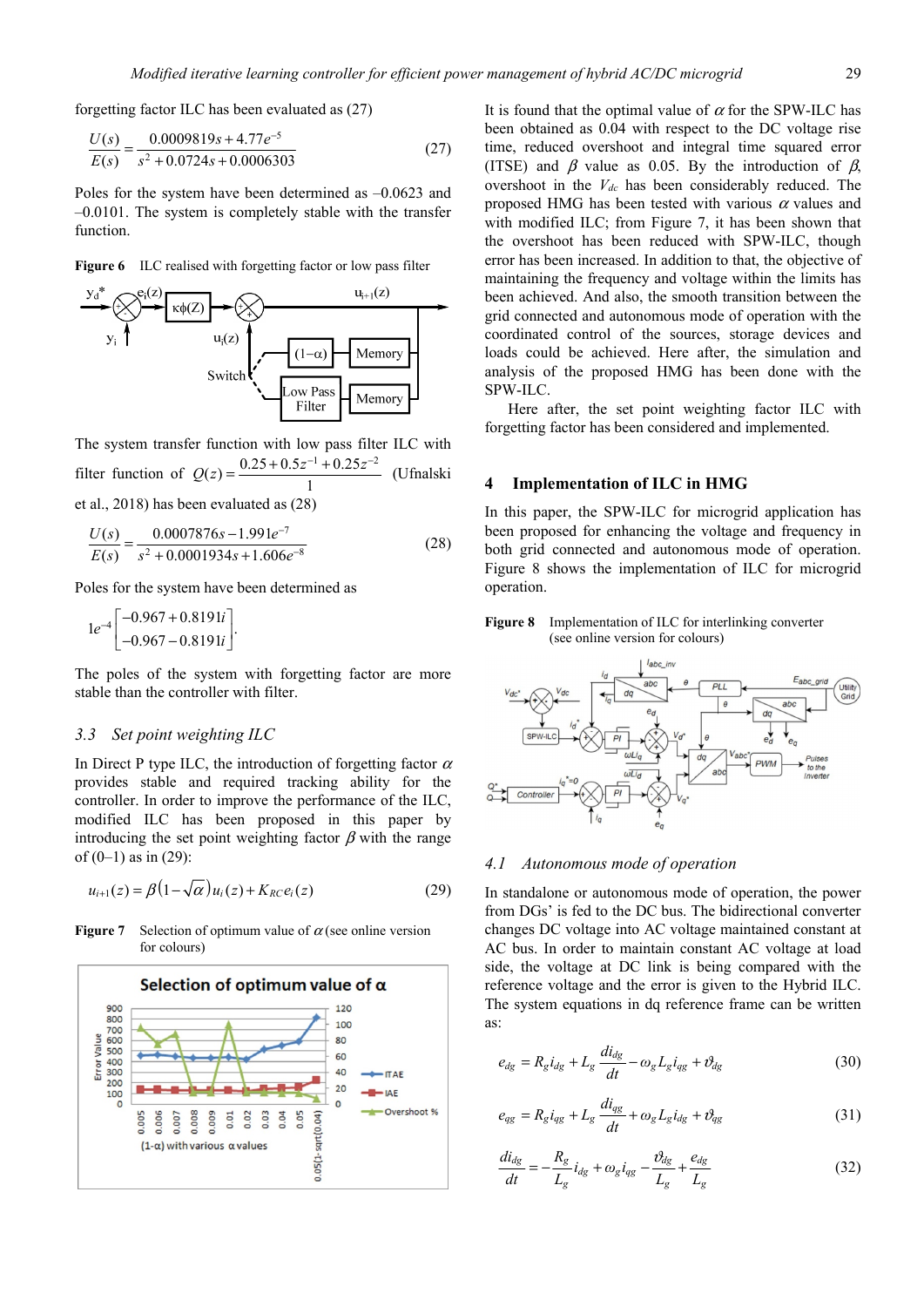forgetting factor ILC has been evaluated as (27)

$$
\frac{U(s)}{E(s)} = \frac{0.0009819s + 4.77e^{-5}}{s^2 + 0.0724s + 0.0006303}
$$
(27)

Poles for the system have been determined as –0.0623 and –0.0101. The system is completely stable with the transfer function.

**Figure 6** ILC realised with forgetting factor or low pass filter



The system transfer function with low pass filter ILC with filter function of  $Q(z) = \frac{0.25 + 0.5z^{-1} + 0.25z^{-2}}{1}$  (Ufnalski et al., 2018) has been evaluated as (28)

$$
\frac{U(s)}{E(s)} = \frac{0.0007876s - 1.991e^{-7}}{s^2 + 0.0001934s + 1.606e^{-8}}
$$
(28)

Poles for the system have been determined as

$$
1e^{-4}\begin{bmatrix} -0.967 + 0.8191i \\ -0.967 - 0.8191i \end{bmatrix}.
$$

The poles of the system with forgetting factor are more stable than the controller with filter.

#### *3.3 Set point weighting ILC*

In Direct P type ILC, the introduction of forgetting factor  $\alpha$ provides stable and required tracking ability for the controller. In order to improve the performance of the ILC, modified ILC has been proposed in this paper by introducing the set point weighting factor  $\beta$  with the range of  $(0-1)$  as in  $(29)$ :

$$
u_{i+1}(z) = \beta \left(1 - \sqrt{\alpha}\right) u_i(z) + K_{RC} e_i(z) \tag{29}
$$

**Figure 7** Selection of optimum value of  $\alpha$  (see online version for colours)



It is found that the optimal value of  $\alpha$  for the SPW-ILC has been obtained as 0.04 with respect to the DC voltage rise time, reduced overshoot and integral time squared error (ITSE) and  $\beta$  value as 0.05. By the introduction of  $\beta$ , overshoot in the *Vdc* has been considerably reduced. The proposed HMG has been tested with various  $\alpha$  values and with modified ILC; from Figure 7, it has been shown that the overshoot has been reduced with SPW-ILC, though error has been increased. In addition to that, the objective of maintaining the frequency and voltage within the limits has been achieved. And also, the smooth transition between the grid connected and autonomous mode of operation with the coordinated control of the sources, storage devices and loads could be achieved. Here after, the simulation and analysis of the proposed HMG has been done with the SPW-ILC.

Here after, the set point weighting factor ILC with forgetting factor has been considered and implemented.

## **4 Implementation of ILC in HMG**

In this paper, the SPW-ILC for microgrid application has been proposed for enhancing the voltage and frequency in both grid connected and autonomous mode of operation. Figure 8 shows the implementation of ILC for microgrid operation.

**Figure 8** Implementation of ILC for interlinking converter (see online version for colours)



### *4.1 Autonomous mode of operation*

In standalone or autonomous mode of operation, the power from DGs' is fed to the DC bus. The bidirectional converter changes DC voltage into AC voltage maintained constant at AC bus. In order to maintain constant AC voltage at load side, the voltage at DC link is being compared with the reference voltage and the error is given to the Hybrid ILC. The system equations in dq reference frame can be written as:

$$
e_{dg} = R_g i_{dg} + L_g \frac{di_{dg}}{dt} - \omega_g L_g i_{gg} + \vartheta_{dg}
$$
 (30)

$$
e_{qg} = R_g i_{qg} + L_g \frac{di_{qg}}{dt} + \omega_g L_g i_{dg} + \vartheta_{qg}
$$
 (31)

$$
\frac{di_{dg}}{dt} = -\frac{R_g}{L_g} i_{dg} + \omega_g i_{gg} - \frac{\vartheta_{dg}}{L_g} + \frac{e_{dg}}{L_g} \tag{32}
$$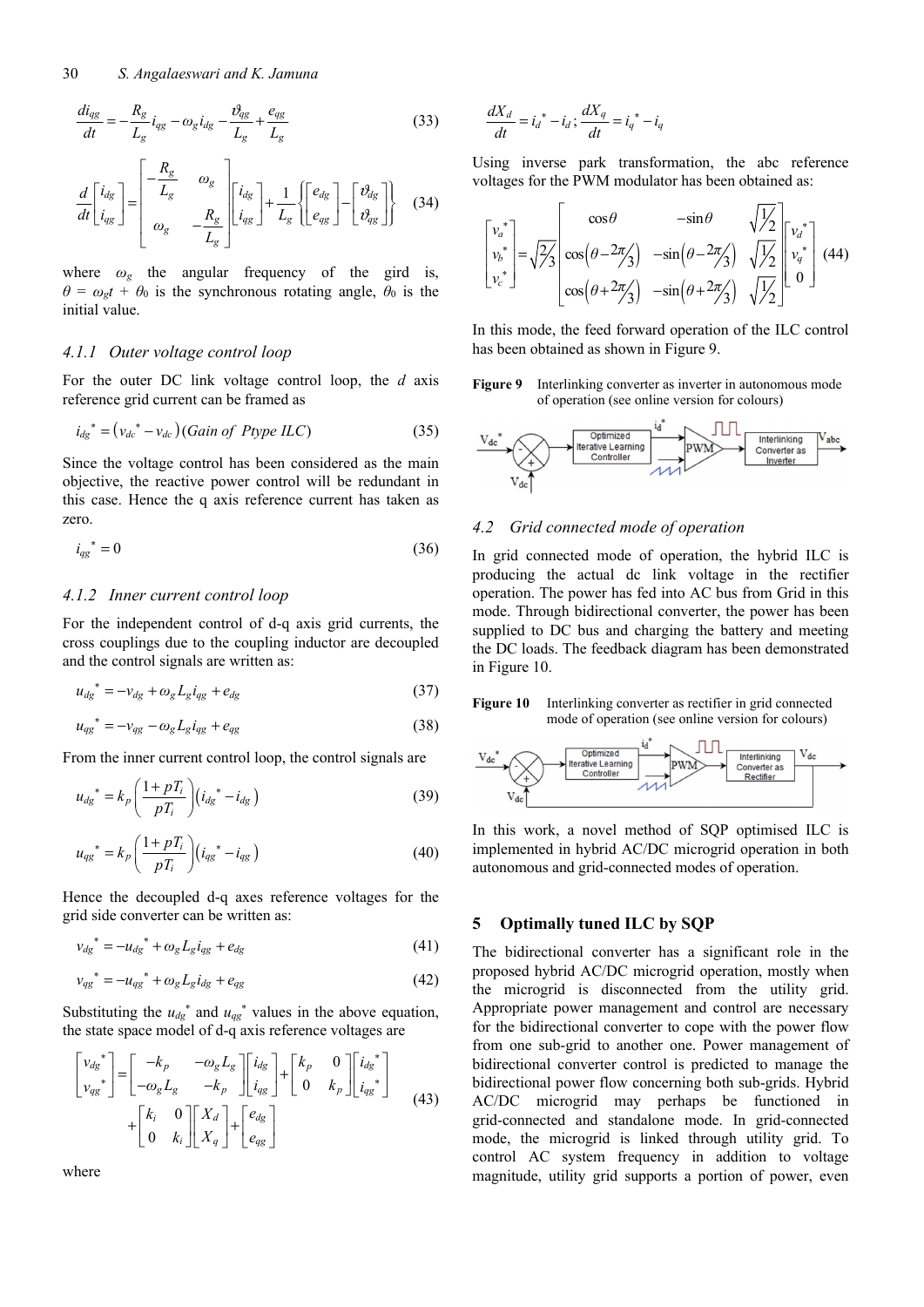$$
\frac{di_{qg}}{dt} = -\frac{R_g}{L_g}i_{qg} - \omega_g i_{dg} - \frac{\omega_{qg}}{L_g} + \frac{e_{qg}}{L_g}
$$
(33)

$$
\frac{d}{dt} \begin{bmatrix} i_{dg} \\ i_{gg} \end{bmatrix} = \begin{bmatrix} -\frac{R_g}{L_g} & \omega_g \\ \omega_g & -\frac{R_g}{L_g} \end{bmatrix} \begin{bmatrix} i_{dg} \\ i_{gg} \end{bmatrix} + \frac{1}{L_g} \left\{ \begin{bmatrix} e_{dg} \\ e_{gg} \end{bmatrix} - \begin{bmatrix} \vartheta_{dg} \\ \vartheta_{gg} \end{bmatrix} \right\}
$$
(34)

where  $\omega_g$  the angular frequency of the gird is,  $\theta = \omega_g t + \theta_0$  is the synchronous rotating angle,  $\theta_0$  is the initial value.

#### *4.1.1 Outer voltage control loop*

For the outer DC link voltage control loop, the *d* axis reference grid current can be framed as

$$
i_{dg}^* = (v_{dc}^* - v_{dc}) (Gain of Ptype ILC)
$$
 (35)

Since the voltage control has been considered as the main objective, the reactive power control will be redundant in this case. Hence the q axis reference current has taken as zero.

$$
i_{qg}^* = 0 \tag{36}
$$

#### *4.1.2 Inner current control loop*

For the independent control of d-q axis grid currents, the cross couplings due to the coupling inductor are decoupled and the control signals are written as:

$$
u_{dg}^* = -v_{dg} + \omega_g L_g i_{gg} + e_{dg}
$$
 (37)

$$
u_{qg}^* = -v_{qg} - \omega_g L_g i_{qg} + e_{qg} \tag{38}
$$

From the inner current control loop, the control signals are

$$
u_{dg}^* = k_p \left( \frac{1 + pT_i}{pT_i} \right) (i_{dg}^* - i_{dg})
$$
 (39)

$$
u_{gg}^* = k_p \left(\frac{1 + pT_i}{pT_i}\right) (i_{gg}^* - i_{gg})
$$
 (40)

Hence the decoupled d-q axes reference voltages for the grid side converter can be written as:

$$
v_{dg}^* = -u_{dg}^* + \omega_g L_g i_{gg} + e_{dg}
$$
\n
$$
\tag{41}
$$

$$
v_{gg}^* = -u_{gg}^* + \omega_g L_g i_{dg} + e_{gg} \tag{42}
$$

Substituting the  $u_{dg}$ <sup>\*</sup> and  $u_{gg}$ <sup>\*</sup> values in the above equation, the state space model of d-q axis reference voltages are

$$
\begin{bmatrix} v_{dg}^* \\ v_{gg}^* \end{bmatrix} = \begin{bmatrix} -k_p & -\omega_g L_g \\ -\omega_g L_g & -k_p \end{bmatrix} \begin{bmatrix} i_{dg} \\ i_{gg} \end{bmatrix} + \begin{bmatrix} k_p & 0 \\ 0 & k_p \end{bmatrix} \begin{bmatrix} i_{dg}^* \\ i_{gg}^* \end{bmatrix}
$$
  
+ 
$$
\begin{bmatrix} k_i & 0 \\ 0 & k_i \end{bmatrix} \begin{bmatrix} X_d \\ X_q \end{bmatrix} + \begin{bmatrix} e_{dg} \\ e_{gg} \end{bmatrix}
$$
(43)

where

$$
\frac{dX_d}{dt} = i_d^* - i_d; \frac{dX_q}{dt} = i_q^* - i_q
$$

Using inverse park transformation, the abc reference voltages for the PWM modulator has been obtained as:

$$
\begin{bmatrix} v_a^* \\ v_b^* \\ v_c^* \end{bmatrix} = \sqrt{\frac{2}{3}} \begin{bmatrix} \cos \theta & -\sin \theta & \sqrt{\frac{1}{3}} \\ \cos(\theta - 2\pi/3) & -\sin(\theta - 2\pi/3) & \sqrt{\frac{1}{3}} \\ \cos(\theta + 2\pi/3) & -\sin(\theta + 2\pi/3) & \sqrt{\frac{1}{3}} \end{bmatrix} \begin{bmatrix} v_a^* \\ v_b^* \\ 0 \end{bmatrix}
$$
(44)

In this mode, the feed forward operation of the ILC control has been obtained as shown in Figure 9.

**Figure 9** Interlinking converter as inverter in autonomous mode of operation (see online version for colours)



#### *4.2 Grid connected mode of operation*

In grid connected mode of operation, the hybrid ILC is producing the actual dc link voltage in the rectifier operation. The power has fed into AC bus from Grid in this mode. Through bidirectional converter, the power has been supplied to DC bus and charging the battery and meeting the DC loads. The feedback diagram has been demonstrated in Figure 10.

**Figure 10** Interlinking converter as rectifier in grid connected mode of operation (see online version for colours)



In this work, a novel method of SQP optimised ILC is implemented in hybrid AC/DC microgrid operation in both autonomous and grid-connected modes of operation.

## **5 Optimally tuned ILC by SQP**

The bidirectional converter has a significant role in the proposed hybrid AC/DC microgrid operation, mostly when the microgrid is disconnected from the utility grid. Appropriate power management and control are necessary for the bidirectional converter to cope with the power flow from one sub-grid to another one. Power management of bidirectional converter control is predicted to manage the bidirectional power flow concerning both sub-grids. Hybrid AC/DC microgrid may perhaps be functioned in grid-connected and standalone mode. In grid-connected mode, the microgrid is linked through utility grid. To control AC system frequency in addition to voltage magnitude, utility grid supports a portion of power, even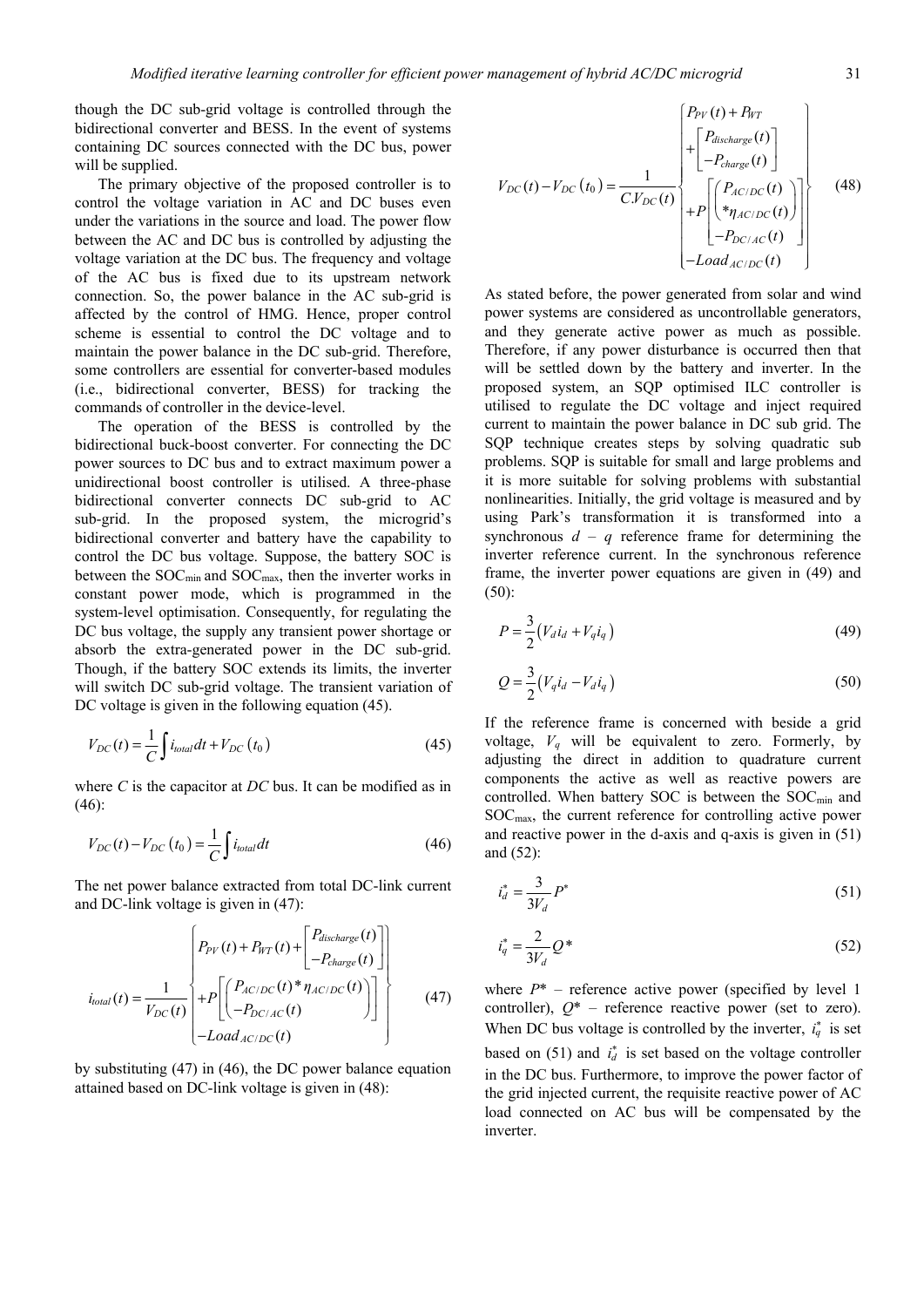though the DC sub-grid voltage is controlled through the bidirectional converter and BESS. In the event of systems containing DC sources connected with the DC bus, power will be supplied.

The primary objective of the proposed controller is to control the voltage variation in AC and DC buses even under the variations in the source and load. The power flow between the AC and DC bus is controlled by adjusting the voltage variation at the DC bus. The frequency and voltage of the AC bus is fixed due to its upstream network connection. So, the power balance in the AC sub-grid is affected by the control of HMG. Hence, proper control scheme is essential to control the DC voltage and to maintain the power balance in the DC sub-grid. Therefore, some controllers are essential for converter-based modules (i.e., bidirectional converter, BESS) for tracking the commands of controller in the device-level.

The operation of the BESS is controlled by the bidirectional buck-boost converter. For connecting the DC power sources to DC bus and to extract maximum power a unidirectional boost controller is utilised. A three-phase bidirectional converter connects DC sub-grid to AC sub-grid. In the proposed system, the microgrid's bidirectional converter and battery have the capability to control the DC bus voltage. Suppose, the battery SOC is between the  $SOC<sub>min</sub>$  and  $SOC<sub>max</sub>$ , then the inverter works in constant power mode, which is programmed in the system-level optimisation. Consequently, for regulating the DC bus voltage, the supply any transient power shortage or absorb the extra-generated power in the DC sub-grid. Though, if the battery SOC extends its limits, the inverter will switch DC sub-grid voltage. The transient variation of DC voltage is given in the following equation  $(45)$ .

$$
V_{DC}(t) = \frac{1}{C} \int i_{total} dt + V_{DC}(t_0)
$$
 (45)

where *C* is the capacitor at *DC* bus. It can be modified as in (46):

$$
V_{DC}(t) - V_{DC}(t_0) = \frac{1}{C} \int i_{total} dt
$$
\n(46)

The net power balance extracted from total DC-link current and DC-link voltage is given in (47):

$$
i_{total}(t) = \frac{1}{V_{DC}(t)} \begin{cases} P_{PV}(t) + P_{WT}(t) + \begin{bmatrix} P_{discharge}(t) \\ -P_{charge}(t) \end{bmatrix} \\ + P \begin{bmatrix} P_{AC/DC}(t) * \eta_{AC/DC}(t) \\ -P_{DC/AC}(t) \end{bmatrix} \end{cases}
$$
(47)

by substituting (47) in (46), the DC power balance equation attained based on DC-link voltage is given in (48):

$$
V_{DC}(t) - V_{DC}(t_0) = \frac{1}{C.V_{DC}(t)} \begin{cases} P_{PV}(t) + P_{WT} \\ + \begin{bmatrix} P_{discharge}(t) \\ -P_{charge}(t) \end{bmatrix} \\ + P \begin{bmatrix} P_{AC/DC}(t) \\ * \eta_{AC/DC}(t) \end{bmatrix} \end{cases}
$$
(48)  
-*Local<sub>AC/DC</sub>(t)* (48)

As stated before, the power generated from solar and wind power systems are considered as uncontrollable generators, and they generate active power as much as possible. Therefore, if any power disturbance is occurred then that will be settled down by the battery and inverter. In the proposed system, an SQP optimised ILC controller is utilised to regulate the DC voltage and inject required current to maintain the power balance in DC sub grid. The SQP technique creates steps by solving quadratic sub problems. SQP is suitable for small and large problems and it is more suitable for solving problems with substantial nonlinearities. Initially, the grid voltage is measured and by using Park's transformation it is transformed into a synchronous  $d - q$  reference frame for determining the inverter reference current. In the synchronous reference frame, the inverter power equations are given in (49) and (50):

$$
P = \frac{3}{2} (V_d i_d + V_q i_q)
$$
 (49)

$$
Q = \frac{3}{2} (V_q i_d - V_d i_q)
$$
 (50)

If the reference frame is concerned with beside a grid voltage,  $V_q$  will be equivalent to zero. Formerly, by adjusting the direct in addition to quadrature current components the active as well as reactive powers are controlled. When battery SOC is between the  $SOC_{min}$  and SOCmax, the current reference for controlling active power and reactive power in the d-axis and q-axis is given in (51) and (52):

$$
i_d^* = \frac{3}{3V_d} P^* \tag{51}
$$

$$
i_q^* = \frac{2}{3V_d} Q^* \tag{52}
$$

where  $P^*$  – reference active power (specified by level 1 controller),  $Q^*$  – reference reactive power (set to zero). When DC bus voltage is controlled by the inverter,  $i_q^*$  is set based on  $(51)$  and  $i_d^*$  is set based on the voltage controller in the DC bus. Furthermore, to improve the power factor of the grid injected current, the requisite reactive power of AC load connected on AC bus will be compensated by the inverter.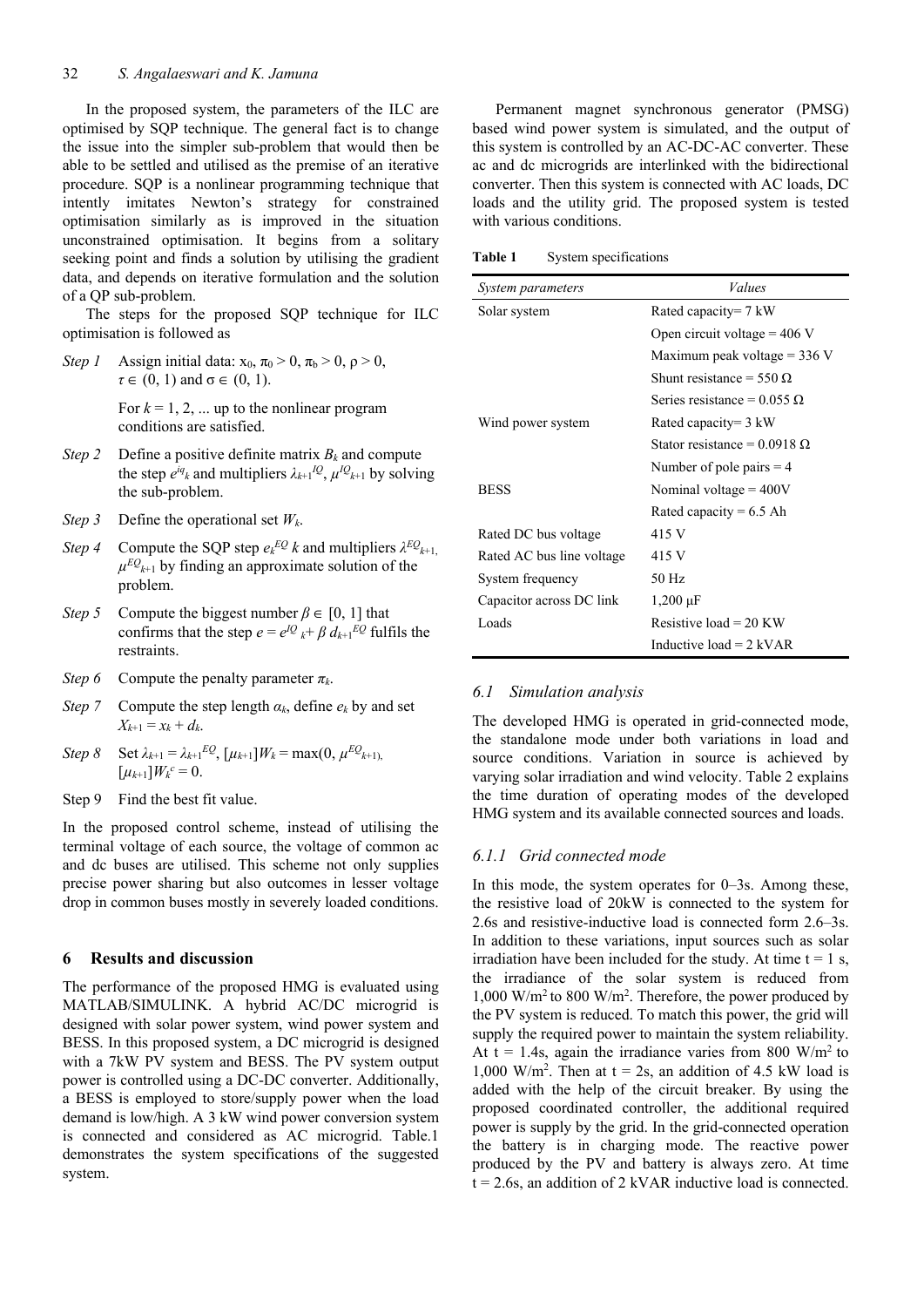In the proposed system, the parameters of the ILC are optimised by SQP technique. The general fact is to change the issue into the simpler sub-problem that would then be able to be settled and utilised as the premise of an iterative procedure. SQP is a nonlinear programming technique that intently imitates Newton's strategy for constrained optimisation similarly as is improved in the situation unconstrained optimisation. It begins from a solitary seeking point and finds a solution by utilising the gradient data, and depends on iterative formulation and the solution of a QP sub-problem.

The steps for the proposed SQP technique for ILC optimisation is followed as

- *Step 1* Assign initial data:  $x_0$ ,  $\pi_0 > 0$ ,  $\pi_b > 0$ ,  $\rho > 0$ , *τ* ∈ (0, 1) and σ ∈ (0, 1). For  $k = 1, 2, \dots$  up to the nonlinear program conditions are satisfied.
- *Step 2* Define a positive definite matrix  $B_k$  and compute the step  $e^{iq}$ <sub>k</sub> and multipliers  $\lambda_{k+1}$ <sup>*lQ*</sup>,  $\mu$ *l*<sup>*Q*</sup><sub>k+1</sub> by solving the sub-problem.
- *Step 3* Define the operational set *Wk*.
- *Step 4* Compute the SQP step  $e_k^{EQ} k$  and multipliers  $\lambda^{EQ} k_{k+1}$ ,  $\mu^{EQ}_{k+1}$  by finding an approximate solution of the problem.
- *Step 5* Compute the biggest number  $\beta \in [0, 1]$  that confirms that the step  $e = e^{iQ} k^+ \beta d_{k+1} EQ$  fulfils the restraints.
- *Step 6* Compute the penalty parameter *πk*.
- *Step 7* Compute the step length  $a_k$ , define  $e_k$  by and set  $X_{k+1} = x_k + d_k$ .
- *Step 8* Set  $\lambda_{k+1} = \lambda_{k+1} EQ$ ,  $[\mu_{k+1}] W_k = \max(0, \mu^{EQ_{k+1}})$ ,  $[\mu_{k+1}]W_k^c = 0.$
- Step 9 Find the best fit value.

In the proposed control scheme, instead of utilising the terminal voltage of each source, the voltage of common ac and dc buses are utilised. This scheme not only supplies precise power sharing but also outcomes in lesser voltage drop in common buses mostly in severely loaded conditions.

## **6 Results and discussion**

The performance of the proposed HMG is evaluated using MATLAB/SIMULINK. A hybrid AC/DC microgrid is designed with solar power system, wind power system and BESS. In this proposed system, a DC microgrid is designed with a 7kW PV system and BESS. The PV system output power is controlled using a DC-DC converter. Additionally, a BESS is employed to store/supply power when the load demand is low/high. A 3 kW wind power conversion system is connected and considered as AC microgrid. Table.1 demonstrates the system specifications of the suggested system.

Permanent magnet synchronous generator (PMSG) based wind power system is simulated, and the output of this system is controlled by an AC-DC-AC converter. These ac and dc microgrids are interlinked with the bidirectional converter. Then this system is connected with AC loads, DC loads and the utility grid. The proposed system is tested with various conditions.

**Table 1** System specifications

| System parameters         | Values                              |  |  |
|---------------------------|-------------------------------------|--|--|
| Solar system              | Rated capacity= $7 \text{ kW}$      |  |  |
|                           | Open circuit voltage = $406$ V      |  |  |
|                           | Maximum peak voltage $=$ 336 V      |  |  |
|                           | Shunt resistance = 550 $\Omega$     |  |  |
|                           | Series resistance = $0.055 \Omega$  |  |  |
| Wind power system         | Rated capacity= $3 \text{ kW}$      |  |  |
|                           | Stator resistance = $0.0918 \Omega$ |  |  |
|                           | Number of pole pairs $=$ 4          |  |  |
| <b>BESS</b>               | Nominal voltage $=$ 400V            |  |  |
|                           | Rated capacity = $6.5$ Ah           |  |  |
| Rated DC bus voltage      | 415 V                               |  |  |
| Rated AC bus line voltage | 415 V                               |  |  |
| System frequency          | $50$ Hz                             |  |  |
| Capacitor across DC link  | $1,200 \,\mu F$                     |  |  |
| Loads                     | Resistive load = 20 KW              |  |  |
|                           | Inductive $load = 2$ kVAR           |  |  |

# *6.1 Simulation analysis*

The developed HMG is operated in grid-connected mode, the standalone mode under both variations in load and source conditions. Variation in source is achieved by varying solar irradiation and wind velocity. Table 2 explains the time duration of operating modes of the developed HMG system and its available connected sources and loads.

# *6.1.1 Grid connected mode*

In this mode, the system operates for 0–3s. Among these, the resistive load of 20kW is connected to the system for 2.6s and resistive-inductive load is connected form 2.6–3s. In addition to these variations, input sources such as solar irradiation have been included for the study. At time  $t = 1$  s, the irradiance of the solar system is reduced from 1,000 W/m2 to 800 W/m2 . Therefore, the power produced by the PV system is reduced. To match this power, the grid will supply the required power to maintain the system reliability. At  $t = 1.4$ s, again the irradiance varies from 800 W/m<sup>2</sup> to 1,000 W/m<sup>2</sup>. Then at  $t = 2s$ , an addition of 4.5 kW load is added with the help of the circuit breaker. By using the proposed coordinated controller, the additional required power is supply by the grid. In the grid-connected operation the battery is in charging mode. The reactive power produced by the PV and battery is always zero. At time  $t = 2.6s$ , an addition of 2 kVAR inductive load is connected.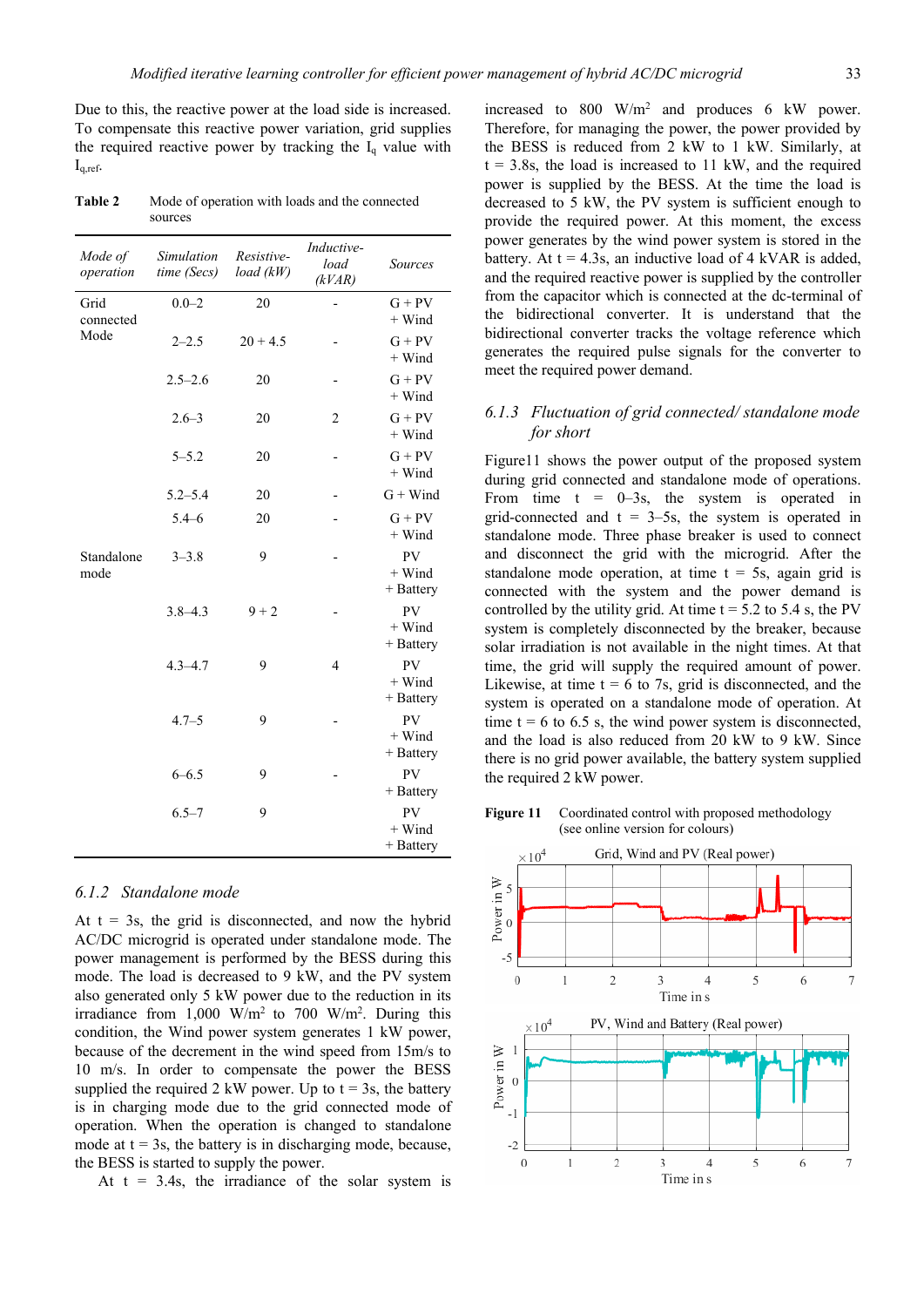Due to this, the reactive power at the load side is increased. To compensate this reactive power variation, grid supplies the required reactive power by tracking the  $I_q$  value with  $I_{q,ref}$ .

**Table 2** Mode of operation with loads and the connected sources

| Mode of<br>operation      | Simulation<br>time (Secs) | Resistive-<br>load (kW) | Inductive-<br>load<br>(kVAR) | <b>Sources</b>                       |
|---------------------------|---------------------------|-------------------------|------------------------------|--------------------------------------|
| Grid<br>connected<br>Mode | $0.0 - 2$                 | 20                      |                              | $G + PV$<br>$+$ Wind                 |
|                           | $2 - 2.5$                 | $20 + 4.5$              |                              | $G + PV$<br>$+$ Wind                 |
|                           | $2.5 - 2.6$               | 20                      |                              | $G + PV$<br>$+$ Wind                 |
|                           | $2.6 - 3$                 | 20                      | $\overline{2}$               | $G + PV$<br>$+$ Wind                 |
|                           | $5 - 5.2$                 | 20                      |                              | $G + PV$<br>$+$ Wind                 |
|                           | $5.2 - 5.4$               | 20                      |                              | $G + Wind$                           |
|                           | $5.4 - 6$                 | 20                      |                              | $G + PV$<br>$+$ Wind                 |
| Standalone<br>mode        | $3 - 3.8$                 | 9                       |                              | PV<br>$+$ Wind<br>+ Battery          |
|                           | $3.8 - 4.3$               | $9 + 2$                 |                              | <b>PV</b><br>$+$ Wind<br>$+$ Battery |
|                           | $4.3 - 4.7$               | 9                       | 4                            | <b>PV</b><br>$+$ Wind<br>+ Battery   |
|                           | $4.7 - 5$                 | 9                       |                              | PV<br>$+$ Wind<br>$+$ Battery        |
|                           | $6 - 6.5$                 | 9                       |                              | PV<br>+ Battery                      |
|                           | $6.5 - 7$                 | 9                       |                              | <b>PV</b><br>$+$ Wind<br>$+$ Battery |

## *6.1.2 Standalone mode*

At  $t = 3s$ , the grid is disconnected, and now the hybrid AC/DC microgrid is operated under standalone mode. The power management is performed by the BESS during this mode. The load is decreased to 9 kW, and the PV system also generated only 5 kW power due to the reduction in its irradiance from  $1,000 \text{ W/m}^2$  to 700 W/m<sup>2</sup>. During this condition, the Wind power system generates 1 kW power, because of the decrement in the wind speed from 15m/s to 10 m/s. In order to compensate the power the BESS supplied the required 2 kW power. Up to  $t = 3s$ , the battery is in charging mode due to the grid connected mode of operation. When the operation is changed to standalone mode at  $t = 3s$ , the battery is in discharging mode, because, the BESS is started to supply the power.

At  $t = 3.4s$ , the irradiance of the solar system is

increased to 800 W/m2 and produces 6 kW power. Therefore, for managing the power, the power provided by the BESS is reduced from 2 kW to 1 kW. Similarly, at  $t = 3.8s$ , the load is increased to 11 kW, and the required power is supplied by the BESS. At the time the load is decreased to 5 kW, the PV system is sufficient enough to provide the required power. At this moment, the excess power generates by the wind power system is stored in the battery. At  $t = 4.3s$ , an inductive load of 4 kVAR is added, and the required reactive power is supplied by the controller from the capacitor which is connected at the dc-terminal of the bidirectional converter. It is understand that the bidirectional converter tracks the voltage reference which generates the required pulse signals for the converter to meet the required power demand.

# *6.1.3 Fluctuation of grid connected/ standalone mode for short*

Figure11 shows the power output of the proposed system during grid connected and standalone mode of operations. From time  $t = 0-3s$ , the system is operated in grid-connected and  $t = 3-5s$ , the system is operated in standalone mode. Three phase breaker is used to connect and disconnect the grid with the microgrid. After the standalone mode operation, at time  $t = 5s$ , again grid is connected with the system and the power demand is controlled by the utility grid. At time  $t = 5.2$  to 5.4 s, the PV system is completely disconnected by the breaker, because solar irradiation is not available in the night times. At that time, the grid will supply the required amount of power. Likewise, at time  $t = 6$  to 7s, grid is disconnected, and the system is operated on a standalone mode of operation. At time  $t = 6$  to 6.5 s, the wind power system is disconnected, and the load is also reduced from 20 kW to 9 kW. Since there is no grid power available, the battery system supplied the required 2 kW power.

Figure 11 Coordinated control with proposed methodology (see online version for colours)

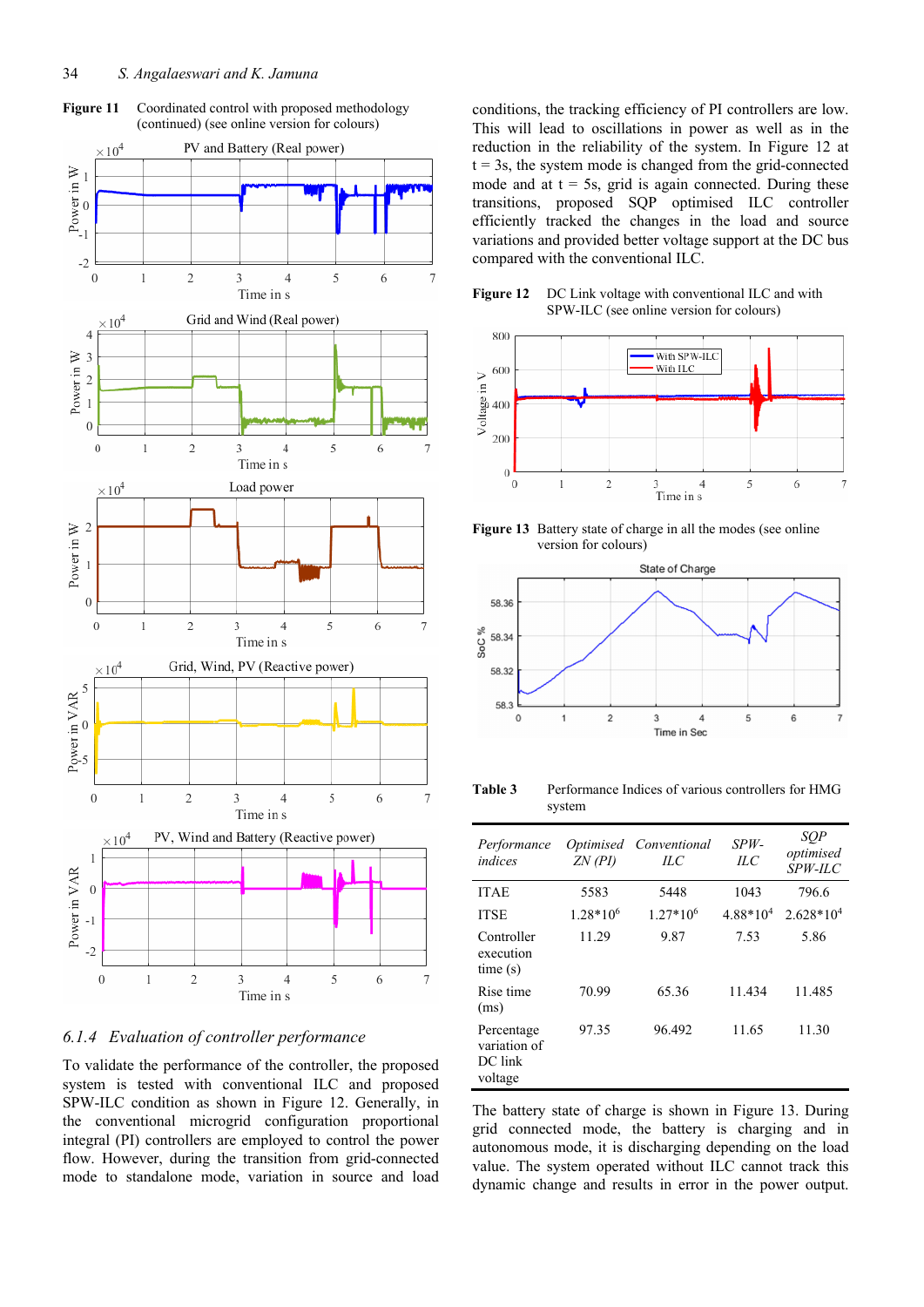



# *6.1.4 Evaluation of controller performance*

To validate the performance of the controller, the proposed system is tested with conventional ILC and proposed SPW-ILC condition as shown in Figure 12. Generally, in the conventional microgrid configuration proportional integral (PI) controllers are employed to control the power flow. However, during the transition from grid-connected mode to standalone mode, variation in source and load conditions, the tracking efficiency of PI controllers are low. This will lead to oscillations in power as well as in the reduction in the reliability of the system. In Figure 12 at  $t = 3s$ , the system mode is changed from the grid-connected mode and at  $t = 5s$ , grid is again connected. During these transitions, proposed SQP optimised ILC controller efficiently tracked the changes in the load and source variations and provided better voltage support at the DC bus compared with the conventional ILC.





**Figure 13** Battery state of charge in all the modes (see online version for colours)



Table 3 Performance Indices of various controllers for HMG system

| Performance<br>indices                           | <i>Optimised</i><br>$ZN$ (PI) | Conventional<br>HС | $SPW -$<br>ILC | SOP<br>optimised<br>$SPW-LC$ |
|--------------------------------------------------|-------------------------------|--------------------|----------------|------------------------------|
| <b>ITAE</b>                                      | 5583                          | 5448               | 1043           | 796.6                        |
| <b>ITSE</b>                                      | $1.28*106$                    | $1.27*10^{6}$      | $4.88*104$     | $2.628*104$                  |
| Controller<br>execution<br>time(s)               | 11.29                         | 9.87               | 7.53           | 5.86                         |
| Rise time<br>(ms)                                | 70.99                         | 65.36              | 11.434         | 11.485                       |
| Percentage<br>variation of<br>DC link<br>voltage | 97.35                         | 96.492             | 11.65          | 11.30                        |

The battery state of charge is shown in Figure 13. During grid connected mode, the battery is charging and in autonomous mode, it is discharging depending on the load value. The system operated without ILC cannot track this dynamic change and results in error in the power output.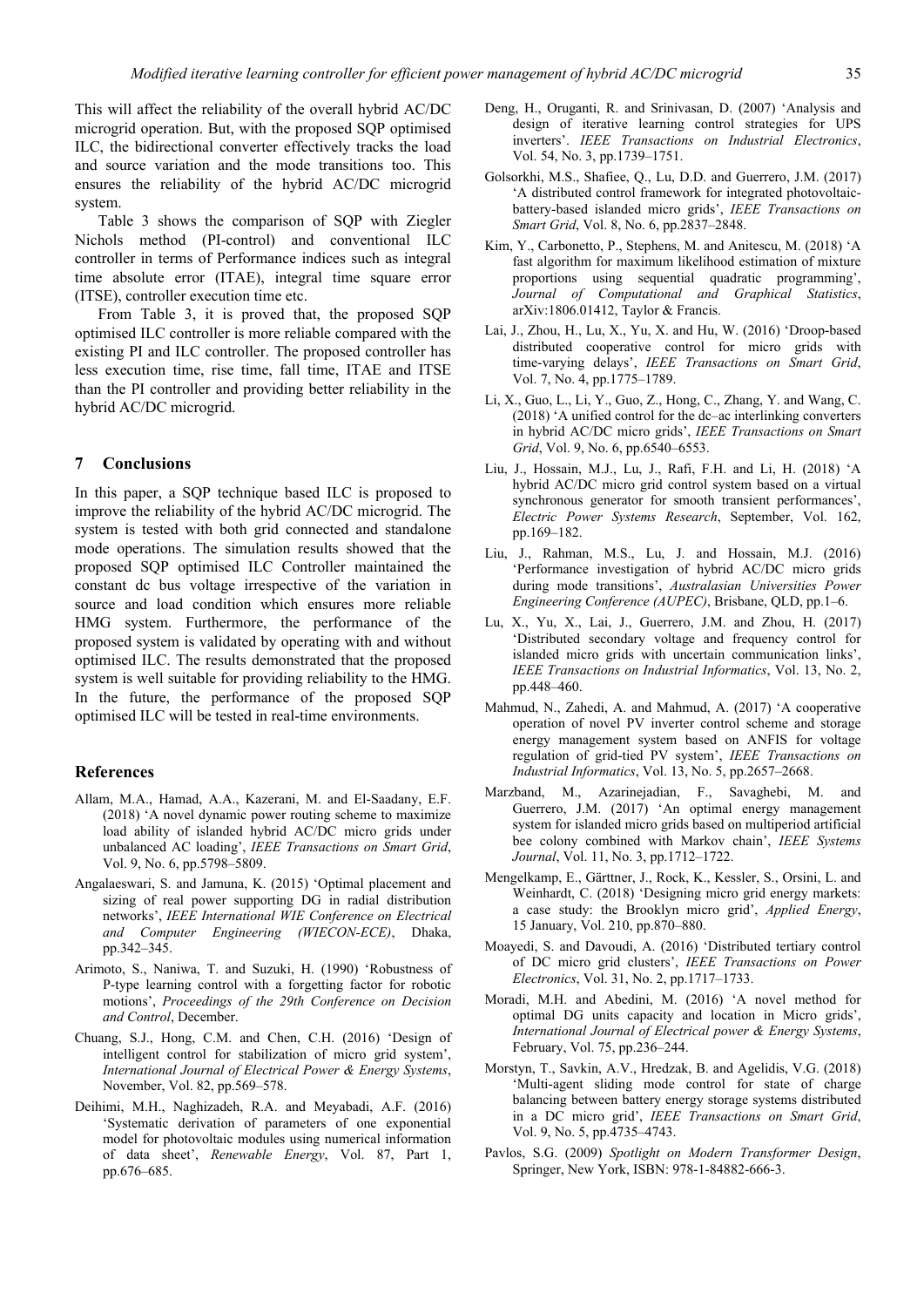This will affect the reliability of the overall hybrid AC/DC microgrid operation. But, with the proposed SQP optimised ILC, the bidirectional converter effectively tracks the load and source variation and the mode transitions too. This ensures the reliability of the hybrid AC/DC microgrid system.

Table 3 shows the comparison of SQP with Ziegler Nichols method (PI-control) and conventional ILC controller in terms of Performance indices such as integral time absolute error (ITAE), integral time square error (ITSE), controller execution time etc.

From Table 3, it is proved that, the proposed SQP optimised ILC controller is more reliable compared with the existing PI and ILC controller. The proposed controller has less execution time, rise time, fall time, ITAE and ITSE than the PI controller and providing better reliability in the hybrid AC/DC microgrid.

#### **7 Conclusions**

In this paper, a SQP technique based ILC is proposed to improve the reliability of the hybrid AC/DC microgrid. The system is tested with both grid connected and standalone mode operations. The simulation results showed that the proposed SQP optimised ILC Controller maintained the constant dc bus voltage irrespective of the variation in source and load condition which ensures more reliable HMG system. Furthermore, the performance of the proposed system is validated by operating with and without optimised ILC. The results demonstrated that the proposed system is well suitable for providing reliability to the HMG. In the future, the performance of the proposed SQP optimised ILC will be tested in real-time environments.

# **References**

- Allam, M.A., Hamad, A.A., Kazerani, M. and El-Saadany, E.F. (2018) 'A novel dynamic power routing scheme to maximize load ability of islanded hybrid AC/DC micro grids under unbalanced AC loading', *IEEE Transactions on Smart Grid*, Vol. 9, No. 6, pp.5798–5809.
- Angalaeswari, S. and Jamuna, K. (2015) 'Optimal placement and sizing of real power supporting DG in radial distribution networks', *IEEE International WIE Conference on Electrical and Computer Engineering (WIECON-ECE)*, Dhaka, pp.342–345.
- Arimoto, S., Naniwa, T. and Suzuki, H. (1990) 'Robustness of P-type learning control with a forgetting factor for robotic motions', *Proceedings of the 29th Conference on Decision and Control*, December.
- Chuang, S.J., Hong, C.M. and Chen, C.H. (2016) 'Design of intelligent control for stabilization of micro grid system', *International Journal of Electrical Power & Energy Systems*, November, Vol. 82, pp.569–578.
- Deihimi, M.H., Naghizadeh, R.A. and Meyabadi, A.F. (2016) 'Systematic derivation of parameters of one exponential model for photovoltaic modules using numerical information of data sheet', *Renewable Energy*, Vol. 87, Part 1, pp.676–685.
- Deng, H., Oruganti, R. and Srinivasan, D. (2007) 'Analysis and design of iterative learning control strategies for UPS inverters'. *IEEE Transactions on Industrial Electronics*, Vol. 54, No. 3, pp.1739–1751.
- Golsorkhi, M.S., Shafiee, Q., Lu, D.D. and Guerrero, J.M. (2017) 'A distributed control framework for integrated photovoltaicbattery-based islanded micro grids', *IEEE Transactions on Smart Grid*, Vol. 8, No. 6, pp.2837–2848.
- Kim, Y., Carbonetto, P., Stephens, M. and Anitescu, M. (2018) 'A fast algorithm for maximum likelihood estimation of mixture proportions using sequential quadratic programming', *Journal of Computational and Graphical Statistics*, arXiv:1806.01412, Taylor & Francis.
- Lai, J., Zhou, H., Lu, X., Yu, X. and Hu, W. (2016) 'Droop-based distributed cooperative control for micro grids with time-varying delays', *IEEE Transactions on Smart Grid*, Vol. 7, No. 4, pp.1775–1789.
- Li, X., Guo, L., Li, Y., Guo, Z., Hong, C., Zhang, Y. and Wang, C. (2018) 'A unified control for the dc–ac interlinking converters in hybrid AC/DC micro grids', *IEEE Transactions on Smart Grid*, Vol. 9, No. 6, pp.6540–6553.
- Liu, J., Hossain, M.J., Lu, J., Rafi, F.H. and Li, H. (2018) 'A hybrid AC/DC micro grid control system based on a virtual synchronous generator for smooth transient performances', *Electric Power Systems Research*, September, Vol. 162, pp.169–182.
- Liu, J., Rahman, M.S., Lu, J. and Hossain, M.J. (2016) 'Performance investigation of hybrid AC/DC micro grids during mode transitions', *Australasian Universities Power Engineering Conference (AUPEC)*, Brisbane, QLD, pp.1–6.
- Lu, X., Yu, X., Lai, J., Guerrero, J.M. and Zhou, H. (2017) 'Distributed secondary voltage and frequency control for islanded micro grids with uncertain communication links', *IEEE Transactions on Industrial Informatics*, Vol. 13, No. 2, pp.448–460.
- Mahmud, N., Zahedi, A. and Mahmud, A. (2017) 'A cooperative operation of novel PV inverter control scheme and storage energy management system based on ANFIS for voltage regulation of grid-tied PV system', *IEEE Transactions on Industrial Informatics*, Vol. 13, No. 5, pp.2657–2668.
- Marzband, M., Azarinejadian, F., Savaghebi, M. and Guerrero, J.M. (2017) 'An optimal energy management system for islanded micro grids based on multiperiod artificial bee colony combined with Markov chain', *IEEE Systems Journal*, Vol. 11, No. 3, pp.1712–1722.
- Mengelkamp, E., Gärttner, J., Rock, K., Kessler, S., Orsini, L. and Weinhardt, C. (2018) 'Designing micro grid energy markets: a case study: the Brooklyn micro grid', *Applied Energy*, 15 January, Vol. 210, pp.870–880.
- Moayedi, S. and Davoudi, A. (2016) 'Distributed tertiary control of DC micro grid clusters', *IEEE Transactions on Power Electronics*, Vol. 31, No. 2, pp.1717–1733.
- Moradi, M.H. and Abedini, M. (2016) 'A novel method for optimal DG units capacity and location in Micro grids', *International Journal of Electrical power & Energy Systems*, February, Vol. 75, pp.236–244.
- Morstyn, T., Savkin, A.V., Hredzak, B. and Agelidis, V.G. (2018) 'Multi-agent sliding mode control for state of charge balancing between battery energy storage systems distributed in a DC micro grid', *IEEE Transactions on Smart Grid*, Vol. 9, No. 5, pp.4735–4743.
- Pavlos, S.G. (2009) *Spotlight on Modern Transformer Design*, Springer, New York, ISBN: 978-1-84882-666-3.